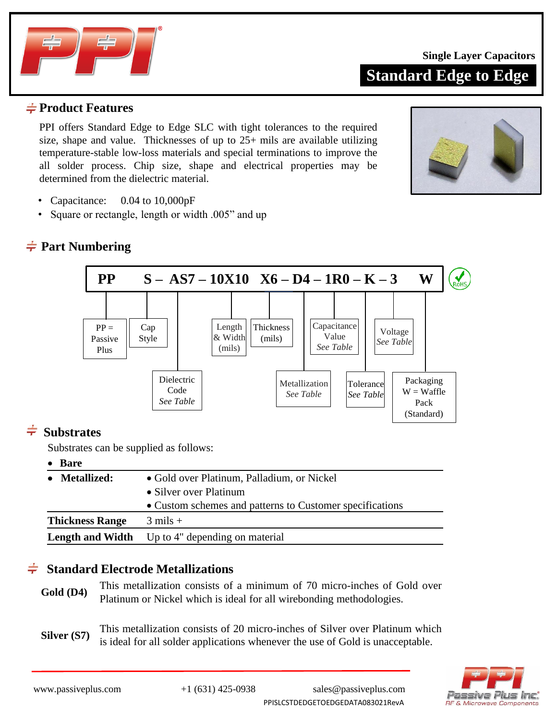

**Standard Edge to Edge**

### $\frac{1}{2}$ **Product Features**

PPI offers Standard Edge to Edge SLC with tight tolerances to the required size, shape and value. Thicknesses of up to 25+ mils are available utilizing temperature-stable low-loss materials and special terminations to improve the all solder process. Chip size, shape and electrical properties may be determined from the dielectric material.



- Capacitance: 0.04 to 10,000pF
- Square or rectangle, length or width .005" and up

## **Part Numbering**



# $\div$  Substrates

Substrates can be supplied as follows:

### • **Bare**

| • Metallized:          | • Gold over Platinum, Palladium, or Nickel               |
|------------------------|----------------------------------------------------------|
|                        | • Silver over Platinum                                   |
|                        | • Custom schemes and patterns to Customer specifications |
| <b>Thickness Range</b> | $3 \text{ miles} +$                                      |
|                        | <b>Length and Width</b> Up to 4" depending on material   |

### $\div$ **Standard Electrode Metallizations**

Gold (D4) This metallization consists of a minimum of 70 micro-inches of Gold over Platinum or Nickel which is ideal for all wirebonding methodologies.

**Silver (S7)** This metallization consists of 20 micro-inches of Silver over Platinum which is ideal for all solder applications whenever the use of Gold is unacceptable.

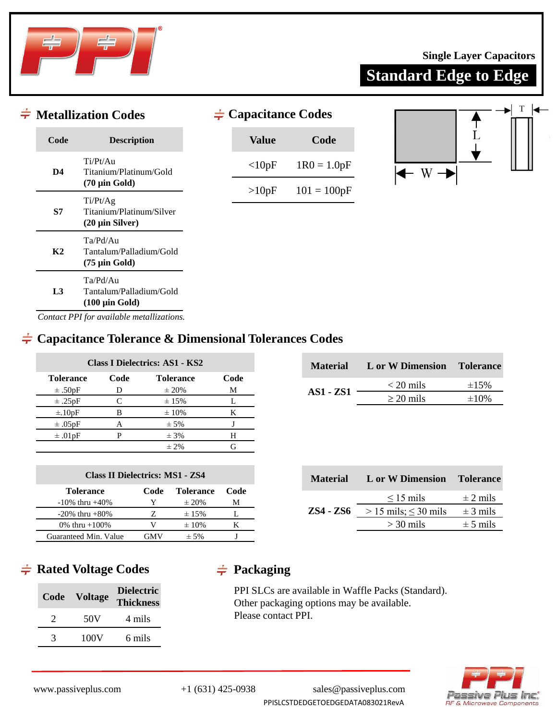

**Standard Edge to Edge**

|                | $\div$ Metallization Codes                                               | $\neq$ Capacitance Codes |               |
|----------------|--------------------------------------------------------------------------|--------------------------|---------------|
| Code           | <b>Description</b>                                                       | <b>Value</b>             | Code          |
| D <sub>4</sub> | Ti/Pt/Au<br>Titanium/Platinum/Gold                                       | <10pF                    | $1R0 = 1.0pF$ |
|                | $(70 \mu \text{in} \text{ Gold})$<br>Ti/Pt/Ag                            | >10pF                    | $101 = 100pF$ |
| S7             | Titanium/Platinum/Silver<br>$(20 \mu \text{in Silver})$                  |                          |               |
| K2             | Ta/Pd/Au<br>Tantalum/Palladium/Gold<br>$(75 \mu \text{in} \text{ Gold})$ |                          |               |
| L3             | Ta/Pd/Au<br>Tantalum/Palladium/Gold<br>$(100 \mu \text{in}$ Gold)        |                          |               |

*Contact PPI for available metallizations.*

### **Capacitance Tolerance & Dimensional Tolerances Codes**

| Class I Dielectrics: AS1 - KS2 |      |                  |      |  |  |  |  |  |  |  |  |  |
|--------------------------------|------|------------------|------|--|--|--|--|--|--|--|--|--|
| <b>Tolerance</b>               | Code | <b>Tolerance</b> | Code |  |  |  |  |  |  |  |  |  |
| $\pm .50pF$                    | D    | $\pm 20\%$       | М    |  |  |  |  |  |  |  |  |  |
| $\pm .25pF$                    | C    | ± 15%            |      |  |  |  |  |  |  |  |  |  |
| $\pm .10pF$                    | R    | $\pm 10\%$       | K    |  |  |  |  |  |  |  |  |  |
| $\pm .05pF$                    | А    | $± 5\%$          |      |  |  |  |  |  |  |  |  |  |
| $\pm .01$ <sub>pF</sub>        |      | $± 3\%$          | H    |  |  |  |  |  |  |  |  |  |
|                                |      | $\pm$ 2%         |      |  |  |  |  |  |  |  |  |  |

| <b>Class II Dielectrics: MS1 - ZS4</b> |      |            |   |  |  |  |  |  |  |  |  |  |  |
|----------------------------------------|------|------------|---|--|--|--|--|--|--|--|--|--|--|
| <b>Tolerance</b>                       | Code |            |   |  |  |  |  |  |  |  |  |  |  |
| $-10\%$ thru $+40\%$                   | Y    | $\pm 20\%$ | м |  |  |  |  |  |  |  |  |  |  |
| $-20\%$ thru $+80\%$                   |      | $\pm 15\%$ |   |  |  |  |  |  |  |  |  |  |  |
| 0% thru $+100%$                        | V    | $\pm 10\%$ | к |  |  |  |  |  |  |  |  |  |  |
| Guaranteed Min. Value                  | GMV  | $± 5\%$    |   |  |  |  |  |  |  |  |  |  |  |

| <b>Material</b> | L VI VI DIMICIMUM | TUITLANC    |
|-----------------|-------------------|-------------|
|                 | $<$ 20 mils       | $\pm 1.5\%$ |
| $AS1 - ZS1$     | $\geq$ 20 mils    | $\pm 10\%$  |
|                 |                   |             |

**Material L** or W Dimension **Tole** 

| <b>Material</b>  | L or W Dimension Tolerance                     |              |
|------------------|------------------------------------------------|--------------|
|                  | $\leq$ 15 mils                                 | $\pm$ 2 mils |
| <b>ZS4 - ZS6</b> | $> 15 \text{ miles}$ ; $\leq 30 \text{ miles}$ | $\pm$ 3 mils |
|                  | $>$ 30 mils                                    | $\pm$ 5 mils |
|                  |                                                |              |

# $\div$  **Rated Voltage Codes**  $\div$  **Packaging**

| Code | <b>Voltage</b> | <b>Dielectric</b><br><b>Thickness</b> |
|------|----------------|---------------------------------------|
|      | 50V            | 4 mils                                |
| 3    | 100V           | 6 mils                                |

PPI SLCs are available in Waffle Packs (Standard). Other packaging options may be available. Please contact PPI.

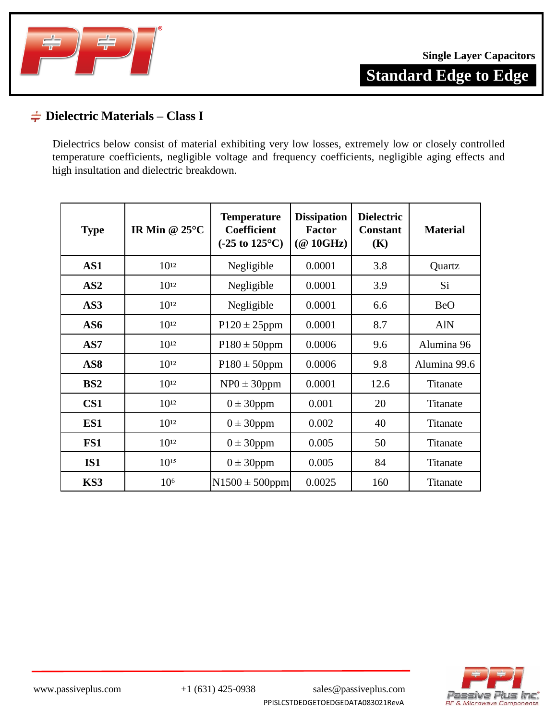

### **Dielectric Materials – Class I**

Dielectrics below consist of material exhibiting very low losses, extremely low or closely controlled temperature coefficients, negligible voltage and frequency coefficients, negligible aging effects and high insultation and dielectric breakdown.

| <b>Type</b>     | IR Min @ $25^{\circ}$ C | <b>Temperature</b><br><b>Coefficient</b><br>$(-25 \text{ to } 125^{\circ}\text{C})$ | <b>Dissipation</b><br>Factor<br>$(\textcircled{a}$ 10GHz) | <b>Dielectric</b><br><b>Constant</b><br>(K) | <b>Material</b> |
|-----------------|-------------------------|-------------------------------------------------------------------------------------|-----------------------------------------------------------|---------------------------------------------|-----------------|
| AS1             | $10^{12}$               | Negligible                                                                          | 0.0001                                                    | 3.8                                         | Quartz          |
| AS2             | $10^{12}$               | Negligible                                                                          | 0.0001                                                    | 3.9                                         | Si.             |
| AS3             | $10^{12}$               | Negligible                                                                          | 0.0001                                                    | 6.6                                         | <b>BeO</b>      |
| AS6             | $10^{12}$               | $P120 \pm 25$ ppm                                                                   | 0.0001                                                    | 8.7                                         | <b>AlN</b>      |
| AS7             | $10^{12}$               | $P180 \pm 50$ ppm                                                                   | 0.0006                                                    | 9.6                                         | Alumina 96      |
| AS <sub>8</sub> | $10^{12}$               | $P180 \pm 50$ ppm                                                                   | 0.0006                                                    | 9.8                                         | Alumina 99.6    |
| BS2             | $10^{12}$               | $NP0 \pm 30$ ppm                                                                    | 0.0001                                                    | 12.6                                        | Titanate        |
| CS <sub>1</sub> | $10^{12}$               | $0 \pm 30$ ppm                                                                      | 0.001                                                     | 20                                          | Titanate        |
| ES1             | $10^{12}$               | $0 \pm 30$ ppm                                                                      | 0.002                                                     | 40                                          | Titanate        |
| FS1             | $10^{12}$               | $0 \pm 30$ ppm                                                                      | 0.005                                                     | 50                                          | Titanate        |
| IS1             | $10^{15}$               | $0 \pm 30$ ppm                                                                      | 0.005                                                     | 84                                          | Titanate        |
| KS3             | 10 <sup>6</sup>         | $N1500 \pm 500$ ppm                                                                 | 0.0025                                                    | 160                                         | Titanate        |

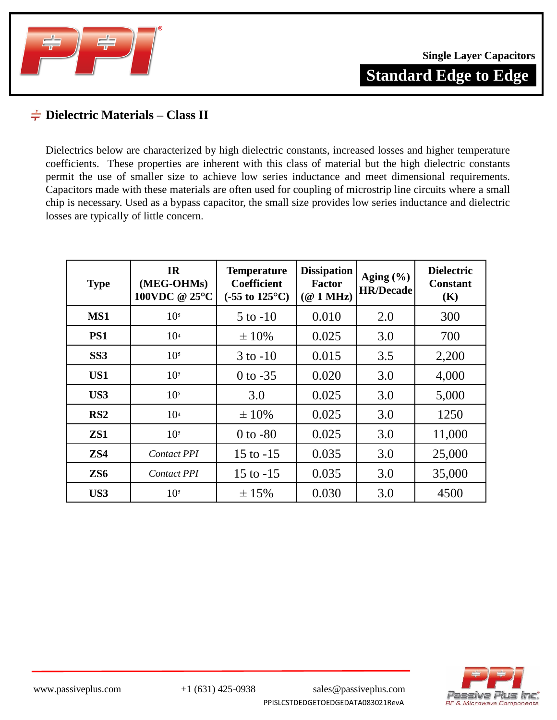

### **Dielectric Materials – Class II**

Dielectrics below are characterized by high dielectric constants, increased losses and higher temperature coefficients. These properties are inherent with this class of material but the high dielectric constants permit the use of smaller size to achieve low series inductance and meet dimensional requirements. Capacitors made with these materials are often used for coupling of microstrip line circuits where a small chip is necessary. Used as a bypass capacitor, the small size provides low series inductance and dielectric losses are typically of little concern.

| <b>Type</b>     | IR<br>(MEG-OHMs)<br>100VDC @ 25°C | <b>Temperature</b><br><b>Coefficient</b><br>$(-55 \text{ to } 125^{\circ}\text{C})$ | <b>Dissipation</b><br><b>Factor</b><br>(@1MHz) | Aging $(\% )$<br><b>HR/Decade</b> | <b>Dielectric</b><br><b>Constant</b><br>(K) |
|-----------------|-----------------------------------|-------------------------------------------------------------------------------------|------------------------------------------------|-----------------------------------|---------------------------------------------|
| MS1             | 10 <sup>5</sup>                   | $5$ to $-10$                                                                        | 0.010                                          | 2.0                               | 300                                         |
| PS1             | 10 <sup>4</sup>                   | $\pm 10\%$                                                                          | 0.025                                          | 3.0                               | 700                                         |
| SS <sub>3</sub> | 10 <sup>5</sup>                   | $3$ to $-10$                                                                        | 0.015                                          | 3.5                               | 2,200                                       |
| US1             | 10 <sup>5</sup>                   | $0$ to $-35$                                                                        | 0.020                                          | 3.0                               | 4,000                                       |
| US3             | 10 <sup>5</sup>                   | 3.0                                                                                 | 0.025                                          | 3.0                               | 5,000                                       |
| RS <sub>2</sub> | 10 <sup>4</sup>                   | $\pm 10\%$                                                                          | 0.025                                          | 3.0                               | 1250                                        |
| ZS1             | 10 <sup>5</sup>                   | $0$ to $-80$                                                                        | 0.025                                          | 3.0                               | 11,000                                      |
| ZS4             | <b>Contact PPI</b>                | $15$ to $-15$                                                                       | 0.035                                          | 3.0                               | 25,000                                      |
| ZS <sub>6</sub> | <b>Contact PPI</b>                | $15$ to $-15$                                                                       | 0.035                                          | 3.0                               | 35,000                                      |
| US3             | 10 <sup>5</sup>                   | ± 15%                                                                               | 0.030                                          | 3.0                               | 4500                                        |



PPISLCSTDEDGETOEDGEDATA083021RevA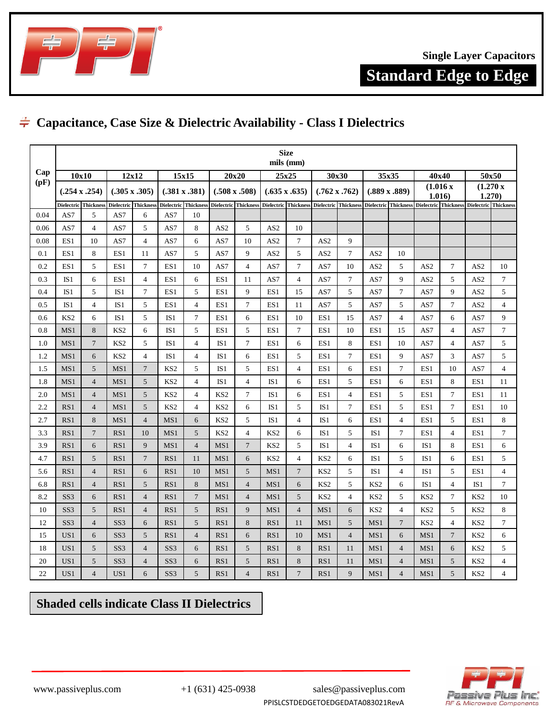

**Standard Edge to Edge**

# **Capacitance, Case Size & Dielectric Availability - Class I Dielectrics**

|      |                 |                          |                      |                             |                      |                             |                 |                                                                |                 | <b>Size</b><br>mils (mm) |                 |                      |                 |                                                                |                 |                    |                 |                    |  |
|------|-----------------|--------------------------|----------------------|-----------------------------|----------------------|-----------------------------|-----------------|----------------------------------------------------------------|-----------------|--------------------------|-----------------|----------------------|-----------------|----------------------------------------------------------------|-----------------|--------------------|-----------------|--------------------|--|
| Cap  | 10x10           |                          | 12x12<br>15x15       |                             |                      |                             |                 | 20x20                                                          |                 | 25x25                    |                 | 30x30                |                 | 35x35                                                          |                 | 40x40              | 50x50           |                    |  |
| (pF) |                 | (.254 x .254)            | $(.305 \times .305)$ |                             | $(.381 \times .381)$ |                             |                 | $(.508 \times .508)$                                           |                 | $(.635 \times .635)$     |                 | $(.762 \times .762)$ |                 | $(.889 \times .889)$                                           |                 | (1.016x)<br>1.016) |                 | (1.270 x<br>1.270) |  |
|      |                 | Dielectric Thickness     |                      | <b>Dielectric</b> Thickness |                      | <b>Dielectric</b> Thickness |                 | Dielectric Thickness Dielectric Thickness Dielectric Thickness |                 |                          |                 |                      |                 | Dielectric Thickness Dielectric Thickness Dielectric Thickness |                 |                    |                 |                    |  |
| 0.04 | AS7             | 5                        | AS7                  | 6                           | AS7                  | 10                          |                 |                                                                |                 |                          |                 |                      |                 |                                                                |                 |                    |                 |                    |  |
| 0.06 | AS7             | $\overline{4}$           | AS7                  | 5                           | AS7                  | 8                           | AS <sub>2</sub> | 5                                                              | AS <sub>2</sub> | 10                       |                 |                      |                 |                                                                |                 |                    |                 |                    |  |
| 0.08 | ES1             | 10                       | AS7                  | $\overline{4}$              | AS7                  | 6                           | AS7             | 10                                                             | AS <sub>2</sub> | $\tau$                   | AS <sub>2</sub> | 9                    |                 |                                                                |                 |                    |                 |                    |  |
| 0.1  | ES1             | 8                        | ES1                  | 11                          | AS7                  | 5                           | AS7             | 9                                                              | AS <sub>2</sub> | 5                        | AS <sub>2</sub> | $\tau$               | AS <sub>2</sub> | 10                                                             |                 |                    |                 |                    |  |
| 0.2  | ES1             | 5                        | ES1                  | $7\phantom{.0}$             | ES1                  | 10                          | AS7             | $\overline{4}$                                                 | AS7             | $\overline{7}$           | AS7             | 10                   | AS <sub>2</sub> | 5                                                              | AS <sub>2</sub> | 7                  | AS <sub>2</sub> | 10                 |  |
| 0.3  | IS1             | 6                        | ES1                  | $\overline{4}$              | ES1                  | 6                           | ES1             | 11                                                             | AS7             | $\overline{4}$           | AS7             | $\tau$               | AS7             | 9                                                              | AS <sub>2</sub> | 5                  | AS <sub>2</sub> | $\overline{7}$     |  |
| 0.4  | IS1             | 5                        | IS <sub>1</sub>      | $\tau$                      | ES1                  | 5                           | ES1             | 9                                                              | ES1             | 15                       | AS7             | 5                    | AS7             | 7                                                              | AS7             | 9                  | AS <sub>2</sub> | 5                  |  |
| 0.5  | IS <sub>1</sub> | $\overline{4}$           | IS1                  | 5                           | ES1                  | $\overline{4}$              | ES1             | $\overline{7}$                                                 | ES1             | 11                       | AS7             | 5                    | AS7             | 5                                                              | AS7             | $\tau$             | AS <sub>2</sub> | $\overline{4}$     |  |
| 0.6  | KS <sub>2</sub> | 6                        | IS <sub>1</sub>      | 5                           | IS1                  | $\overline{7}$              | ES1             | 6                                                              | ES1             | 10                       | ES1             | 15                   | AS7             | $\overline{4}$                                                 | AS7             | 6                  | AS7             | 9                  |  |
| 0.8  | MS1             | 8                        | KS <sub>2</sub>      | 6                           | IS1                  | 5                           | ES1             | 5                                                              | ES1             | $\overline{7}$           | ES1             | 10                   | ES1             | 15                                                             | AS7             | $\overline{4}$     | AS7             | $\overline{7}$     |  |
| 1.0  | MS1             | $\overline{7}$           | KS <sub>2</sub>      | 5                           | IS1                  | $\overline{4}$              | IS <sub>1</sub> | $\overline{7}$                                                 | ES1             | 6                        | ES1             | 8                    | ES1             | 10                                                             | AS7             | $\overline{4}$     | AS7             | 5                  |  |
| 1.2  | MS1             | 6                        | KS <sub>2</sub>      | $\overline{4}$              | IS1                  | $\overline{4}$              | IS1             | 6                                                              | ES1             | 5                        | ES1             | $\tau$               | ES1             | 9                                                              | AS7             | 3                  | AS7             | 5                  |  |
| 1.5  | MS1             | 5                        | MS1                  | $7\phantom{.0}$             | KS <sub>2</sub>      | 5                           | IS <sub>1</sub> | 5                                                              | ES1             | $\overline{4}$           | ES1             | 6                    | ES1             | $\overline{7}$                                                 | ES1             | 10                 | AS7             | $\overline{4}$     |  |
| 1.8  | MS1             | $\overline{4}$           | MS1                  | 5                           | KS <sub>2</sub>      | $\overline{4}$              | IS1             | $\overline{4}$                                                 | IS1             | 6                        | ES1             | 5                    | ES1             | 6                                                              | ES1             | 8                  | ES1             | 11                 |  |
| 2.0  | MS1             | $\overline{4}$           | MS1                  | 5                           | KS <sub>2</sub>      | 4                           | KS <sub>2</sub> | $\tau$                                                         | IS1             | 6                        | ES1             | $\overline{4}$       | ES1             | 5                                                              | ES1             | $\overline{7}$     | ES1             | 11                 |  |
| 2.2  | RS1             | $\overline{4}$           | MS1                  | 5                           | KS <sub>2</sub>      | $\overline{4}$              | KS <sub>2</sub> | 6                                                              | IS1             | 5                        | IS1             | $\tau$               | ES1             | 5                                                              | ES1             | $\tau$             | ES1             | 10                 |  |
| 2.7  | RS1             | 8                        | MS1                  | $\overline{4}$              | MS1                  | 6                           | KS <sub>2</sub> | 5                                                              | IS1             | $\overline{4}$           | IS1             | 6                    | ES1             | $\overline{4}$                                                 | ES1             | 5                  | ES1             | 8                  |  |
| 3.3  | RS1             | $7\phantom{.0}$          | RS1                  | 10                          | MS1                  | 5                           | KS <sub>2</sub> | $\overline{4}$                                                 | KS <sub>2</sub> | 6                        | IS1             | 5                    | IS1             | $\overline{7}$                                                 | ES1             | $\overline{4}$     | ES1             | $\overline{7}$     |  |
| 3.9  | RS1             | 6                        | RS1                  | 9                           | MS1                  | $\overline{4}$              | MS1             | $7\phantom{.0}$                                                | KS <sub>2</sub> | 5                        | IS1             | $\overline{4}$       | IS <sub>1</sub> | 6                                                              | IS <sub>1</sub> | 8                  | ES1             | 6                  |  |
| 4.7  | RS1             | 5                        | RS1                  | $7\phantom{.0}$             | RS1                  | 11                          | MS1             | 6                                                              | KS <sub>2</sub> | $\overline{4}$           | KS <sub>2</sub> | 6                    | IS1             | 5                                                              | IS1             | 6                  | ES1             | 5                  |  |
| 5.6  | RS1             | $\overline{4}$           | RS1                  | 6                           | RS1                  | 10                          | MS1             | 5                                                              | MS1             | $7\phantom{.0}$          | KS <sub>2</sub> | 5                    | IS <sub>1</sub> | $\overline{4}$                                                 | IS <sub>1</sub> | 5                  | ES1             | $\overline{4}$     |  |
| 6.8  | RS1             | $\overline{4}$           | RS1                  | 5                           | RS1                  | 8                           | MS1             | $\overline{4}$                                                 | MS1             | 6                        | KS <sub>2</sub> | 5                    | KS <sub>2</sub> | 6                                                              | IS1             | $\overline{4}$     | IS1             | $\overline{7}$     |  |
| 8.2  | SS <sub>3</sub> | 6                        | RS1                  | $\overline{4}$              | RS1                  | $\tau$                      | MS1             | $\overline{4}$                                                 | MS1             | 5                        | KS <sub>2</sub> | $\overline{4}$       | KS <sub>2</sub> | 5                                                              | KS <sub>2</sub> | $\tau$             | KS <sub>2</sub> | 10                 |  |
| 10   | SS <sub>3</sub> | 5                        | RS1                  | $\overline{4}$              | RS1                  | 5                           | RS1             | 9                                                              | MS1             | $\overline{4}$           | MS1             | 6                    | KS <sub>2</sub> | $\overline{4}$                                                 | KS <sub>2</sub> | 5                  | KS <sub>2</sub> | 8                  |  |
| 12   | SS <sub>3</sub> | $\overline{4}$           | SS <sub>3</sub>      | 6                           | RS1                  | 5                           | RS1             | 8                                                              | RS1             | 11                       | MS1             | 5                    | MS1             | $\overline{7}$                                                 | KS <sub>2</sub> | $\overline{4}$     | KS <sub>2</sub> | $\tau$             |  |
| 15   | US <sub>1</sub> | 6                        | SS <sub>3</sub>      | 5                           | RS1                  | $\overline{4}$              | RS1             | 6                                                              | RS1             | 10                       | MS1             | $\overline{4}$       | MS1             | 6                                                              | MS1             | $\overline{7}$     | KS <sub>2</sub> | 6                  |  |
| 18   | US1             | 5                        | SS <sub>3</sub>      | $\overline{4}$              | SS <sub>3</sub>      | 6                           | RS <sub>1</sub> | 5                                                              | RS1             | 8                        | RS1             | 11                   | MS1             | $\overline{4}$                                                 | MS1             | 6                  | KS <sub>2</sub> | 5                  |  |
| 20   | US1             | 5                        | SS <sub>3</sub>      | $\overline{4}$              | SS <sub>3</sub>      | 6                           | RS1             | 5                                                              | RS1             | 8                        | RS1             | 11                   | MS1             | $\overline{4}$                                                 | MS1             | 5                  | KS <sub>2</sub> | $\overline{4}$     |  |
| 22   | US1             | $\overline{\mathcal{L}}$ | US1                  | 6                           | SS <sub>3</sub>      | 5                           | RS1             | $\overline{4}$                                                 | RS1             | $\overline{7}$           | RS1             | 9                    | MS1             | $\overline{4}$                                                 | MS1             | 5                  | KS <sub>2</sub> | $\overline{4}$     |  |

### **Shaded cells indicate Class II Dielectrics**

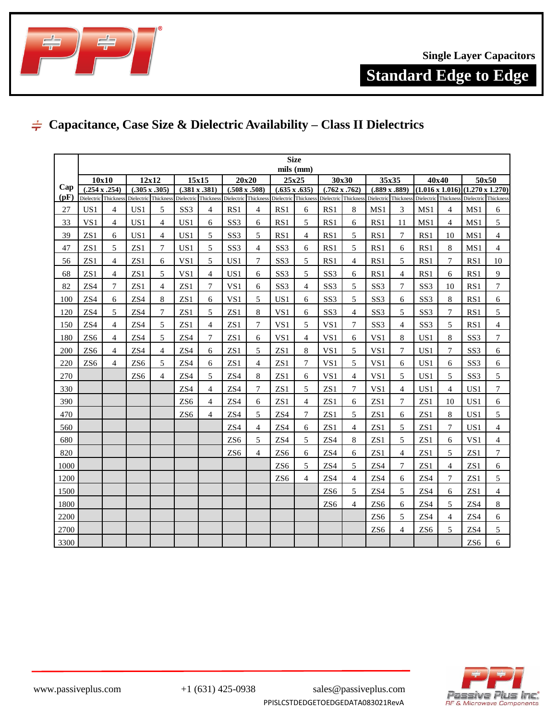

**Standard Edge to Edge**

### **Capacitance, Case Size & Dielectric Availability – Class II Dielectrics**

|             | <b>Size</b>     |                                       |                      |                      |                                              |                |                                              |                |                                              |                |                      |                      |                      |                      |                                                                     |                |                 |                      |
|-------------|-----------------|---------------------------------------|----------------------|----------------------|----------------------------------------------|----------------|----------------------------------------------|----------------|----------------------------------------------|----------------|----------------------|----------------------|----------------------|----------------------|---------------------------------------------------------------------|----------------|-----------------|----------------------|
|             |                 |                                       |                      |                      |                                              |                |                                              |                |                                              | mils (mm)      |                      |                      |                      |                      |                                                                     |                |                 |                      |
|             |                 | 10x10<br>12x12                        |                      |                      | 15x15                                        |                |                                              | 20x20          |                                              | 25x25          |                      | 30x30                |                      | 35x35                | 40x40                                                               |                | 50x50           |                      |
| Cap<br>(pF) |                 | (.254 x .254)<br>Dielectric Thickness | $(.305 \times .305)$ | Dielectric Thickness | $(.381 \times .381)$<br>Dielectric Thickness |                | $(.508 \times .508)$<br>Dielectric Thickness |                | $(.635 \times .635)$<br>Dielectric Thickness |                | $(.762 \times .762)$ | Dielectric Thickness | $(.889 \times .889)$ | Dielectric Thickness | $(1.016 \times 1.016) (1.270 \times 1.270)$<br>Dielectric Thickness |                |                 | Dielectric Thickness |
| 27          | US <sub>1</sub> | 4                                     | US1                  | 5                    | SS <sub>3</sub>                              | $\overline{4}$ | RS1                                          | $\overline{4}$ | RS1                                          | 6              | RS1                  | 8                    | MS1                  | 3                    | MS1                                                                 | 4              | MS1             | 6                    |
| 33          | VS1             | $\overline{4}$                        | US1                  | 4                    | US1                                          | 6              | SS <sub>3</sub>                              | 6              | RS1                                          | 5              | RS1                  | 6                    | RS1                  | 11                   | MS1                                                                 | $\overline{4}$ | MS1             | 5                    |
| 39          | ZS1             | 6                                     | US1                  | 4                    | US1                                          | 5              | SS <sub>3</sub>                              | 5              | RS1                                          | $\overline{4}$ | RS1                  | 5                    | RS1                  | 7                    | RS1                                                                 | 10             | MS1             | $\overline{4}$       |
| 47          | ZS <sub>1</sub> | 5                                     | ZS1                  | 7                    | US1                                          | 5              | SS <sub>3</sub>                              | $\overline{4}$ | SS <sub>3</sub>                              | 6              | RS1                  | 5                    | RS1                  | 6                    | RS1                                                                 | 8              | MS1             | $\overline{4}$       |
| 56          | ZS1             | 4                                     | ZS1                  | 6                    | VS <sub>1</sub>                              | 5              | US <sub>1</sub>                              | $\tau$         | SS <sub>3</sub>                              | 5              | RS1                  | 4                    | RS1                  | 5                    | RS1                                                                 | 7              | RS1             | 10                   |
| 68          | ZS1             | 4                                     | ZS1                  | 5                    | VS1                                          | $\overline{4}$ | US1                                          | 6              | SS <sub>3</sub>                              | 5              | SS <sub>3</sub>      | 6                    | RS1                  | 4                    | RS1                                                                 | 6              | RS1             | 9                    |
| 82          | ZS4             | 7                                     | ZS1                  | $\overline{4}$       | ZS1                                          | $\overline{7}$ | VS1                                          | 6              | SS <sub>3</sub>                              | $\overline{4}$ | SS <sub>3</sub>      | 5                    | SS <sub>3</sub>      | 7                    | SS <sub>3</sub>                                                     | 10             | RS1             | $\overline{7}$       |
| 100         | ZS4             | 6                                     | ZS4                  | 8                    | ZS1                                          | 6              | VS1                                          | 5              | US1                                          | 6              | SS <sub>3</sub>      | 5                    | SS <sub>3</sub>      | 6                    | SS <sub>3</sub>                                                     | 8              | RS1             | 6                    |
| 120         | ZS4             | $\overline{5}$                        | ZS <sub>4</sub>      | 7                    | ZS1                                          | 5              | ZS1                                          | 8              | VS1                                          | 6              | SS <sub>3</sub>      | 4                    | SS <sub>3</sub>      | 5                    | SS <sub>3</sub>                                                     | 7              | RS1             | 5                    |
| 150         | ZS4             | 4                                     | ZS4                  | 5                    | ZS1                                          | $\overline{4}$ | ZS1                                          | 7              | VS1                                          | 5              | VS1                  | 7                    | SS <sub>3</sub>      | 4                    | SS <sub>3</sub>                                                     | 5              | RS1             | $\overline{4}$       |
| 180         | ZS <sub>6</sub> | 4                                     | ZS4                  | 5                    | ZS4                                          | 7              | ZS1                                          | 6              | VS1                                          | 4              | VS1                  | 6                    | VS1                  | 8                    | US <sub>1</sub>                                                     | 8              | SS <sub>3</sub> | $\overline{7}$       |
| 200         | ZS <sub>6</sub> | $\overline{4}$                        | ZS4                  | $\overline{4}$       | ZS4                                          | 6              | ZS1                                          | 5              | ZS1                                          | 8              | VS1                  | 5                    | VS1                  | $\tau$               | US1                                                                 | $\overline{7}$ | SS <sub>3</sub> | 6                    |
| 220         | ZS <sub>6</sub> | $\overline{4}$                        | ZS <sub>6</sub>      | 5                    | ZS4                                          | 6              | ZS1                                          | $\overline{4}$ | ZS1                                          | $\overline{7}$ | VS1                  | 5                    | VS1                  | 6                    | US1                                                                 | 6              | SS <sub>3</sub> | 6                    |
| 270         |                 |                                       | ZS <sub>6</sub>      | $\overline{4}$       | ZS4                                          | 5              | ZS4                                          | 8              | ZS1                                          | 6              | VS1                  | 4                    | VS1                  | 5                    | US1                                                                 | $\overline{5}$ | SS <sub>3</sub> | 5                    |
| 330         |                 |                                       |                      |                      | ZS <sub>4</sub>                              | 4              | ZS4                                          | 7              | ZS1                                          | 5              | ZS1                  | 7                    | VS1                  | 4                    | US1                                                                 | 4              | US <sub>1</sub> | $\tau$               |
| 390         |                 |                                       |                      |                      | ZS <sub>6</sub>                              | $\overline{4}$ | ZS4                                          | 6              | ZS1                                          | $\overline{4}$ | ZS1                  | 6                    | ZS1                  | 7                    | ZS <sub>1</sub>                                                     | 10             | US <sub>1</sub> | 6                    |
| 470         |                 |                                       |                      |                      | ZS <sub>6</sub>                              | 4              | ZS4                                          | 5              | ZS4                                          | 7              | ZS1                  | 5                    | ZS1                  | 6                    | ZS1                                                                 | 8              | US1             | 5                    |
| 560         |                 |                                       |                      |                      |                                              |                | ZS4                                          | $\overline{4}$ | ZS4                                          | 6              | ZS1                  | 4                    | ZS1                  | 5                    | ZS1                                                                 | 7              | US1             | $\overline{4}$       |
| 680         |                 |                                       |                      |                      |                                              |                | ZS <sub>6</sub>                              | 5              | ZS4                                          | 5              | ZS4                  | 8                    | ZS <sub>1</sub>      | 5                    | ZS <sub>1</sub>                                                     | 6              | VS1             | $\overline{4}$       |
| 820         |                 |                                       |                      |                      |                                              |                | ZS <sub>6</sub>                              | $\overline{4}$ | ZS <sub>6</sub>                              | 6              | ZS4                  | 6                    | ZS1                  | 4                    | ZS <sub>1</sub>                                                     | 5              | ZS1             | $\tau$               |
| 1000        |                 |                                       |                      |                      |                                              |                |                                              |                | ZS <sub>6</sub>                              | 5              | ZS4                  | 5                    | ZS4                  | 7                    | ZS <sub>1</sub>                                                     | $\overline{4}$ | ZS1             | 6                    |
| 1200        |                 |                                       |                      |                      |                                              |                |                                              |                | ZS <sub>6</sub>                              | $\overline{4}$ | ZS4                  | $\overline{4}$       | ZS4                  | 6                    | ZS4                                                                 | 7              | ZS1             | 5                    |
| 1500        |                 |                                       |                      |                      |                                              |                |                                              |                |                                              |                | ZS <sub>6</sub>      | 5                    | ZS4                  | 5                    | ZS4                                                                 | 6              | ZS1             | $\overline{4}$       |
| 1800        |                 |                                       |                      |                      |                                              |                |                                              |                |                                              |                | ZS <sub>6</sub>      | 4                    | ZS <sub>6</sub>      | 6                    | ZS4                                                                 | 5              | ZS4             | 8                    |
| 2200        |                 |                                       |                      |                      |                                              |                |                                              |                |                                              |                |                      |                      | ZS <sub>6</sub>      | 5                    | ZS4                                                                 | 4              | ZS4             | 6                    |
| 2700        |                 |                                       |                      |                      |                                              |                |                                              |                |                                              |                |                      |                      | ZS <sub>6</sub>      | 4                    | ZS <sub>6</sub>                                                     | 5              | ZS4             | 5                    |
| 3300        |                 |                                       |                      |                      |                                              |                |                                              |                |                                              |                |                      |                      |                      |                      |                                                                     |                | ZS <sub>6</sub> | 6                    |